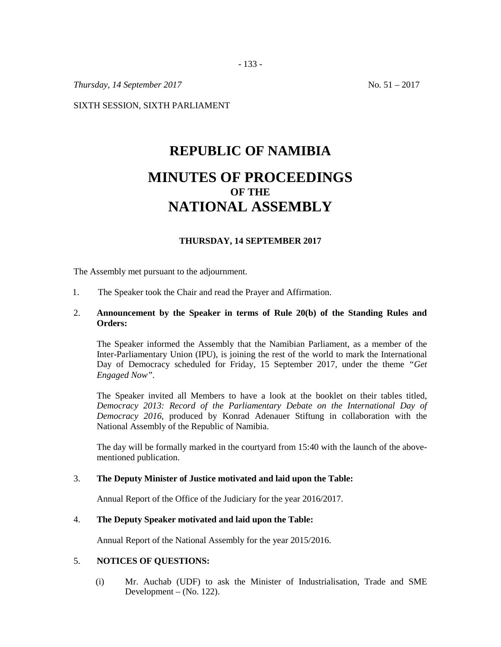*Thursday, 14 September 2017* No. 51 – 2017

SIXTH SESSION, SIXTH PARLIAMENT

# **REPUBLIC OF NAMIBIA MINUTES OF PROCEEDINGS OF THE NATIONAL ASSEMBLY**

# **THURSDAY, 14 SEPTEMBER 2017**

The Assembly met pursuant to the adjournment.

1. The Speaker took the Chair and read the Prayer and Affirmation.

#### 2. **Announcement by the Speaker in terms of Rule 20(b) of the Standing Rules and Orders:**

The Speaker informed the Assembly that the Namibian Parliament, as a member of the Inter-Parliamentary Union (IPU), is joining the rest of the world to mark the International Day of Democracy scheduled for Friday, 15 September 2017, under the theme *"Get Engaged Now".*

The Speaker invited all Members to have a look at the booklet on their tables titled, *Democracy 2013: Record of the Parliamentary Debate on the International Day of Democracy 2016,* produced by Konrad Adenauer Stiftung in collaboration with the National Assembly of the Republic of Namibia.

The day will be formally marked in the courtyard from 15:40 with the launch of the abovementioned publication.

#### 3. **The Deputy Minister of Justice motivated and laid upon the Table:**

Annual Report of the Office of the Judiciary for the year 2016/2017.

#### 4. **The Deputy Speaker motivated and laid upon the Table:**

Annual Report of the National Assembly for the year 2015/2016.

# 5. **NOTICES OF QUESTIONS:**

(i) Mr. Auchab (UDF) to ask the Minister of Industrialisation, Trade and SME Development – (No. 122).